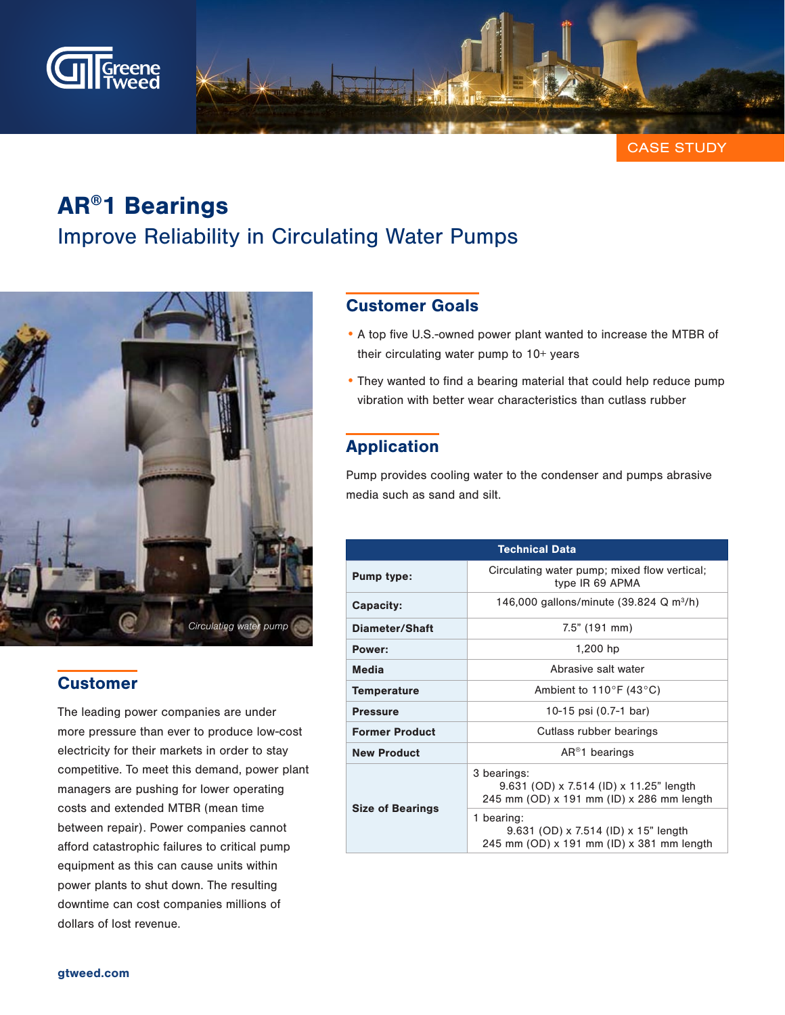

CASE STUDY

# AR®1 Bearings Improve Reliability in Circulating Water Pumps



## **Customer**

The leading power companies are under more pressure than ever to produce low-cost electricity for their markets in order to stay competitive. To meet this demand, power plant managers are pushing for lower operating costs and extended MTBR (mean time between repair). Power companies cannot afford catastrophic failures to critical pump equipment as this can cause units within power plants to shut down. The resulting downtime can cost companies millions of dollars of lost revenue.

# Customer Goals

- A top five U.S.-owned power plant wanted to increase the MTBR of their circulating water pump to 10+ years
- They wanted to find a bearing material that could help reduce pump vibration with better wear characteristics than cutlass rubber

# Application

Pump provides cooling water to the condenser and pumps abrasive media such as sand and silt.

| <b>Technical Data</b>   |                                                                                                     |
|-------------------------|-----------------------------------------------------------------------------------------------------|
| <b>Pump type:</b>       | Circulating water pump; mixed flow vertical;<br>type IR 69 APMA                                     |
| <b>Capacity:</b>        | 146,000 gallons/minute (39.824 Q m <sup>3</sup> /h)                                                 |
| Diameter/Shaft          | $7.5"$ (191 mm)                                                                                     |
| Power:                  | 1,200 hp                                                                                            |
| <b>Media</b>            | Abrasive salt water                                                                                 |
| <b>Temperature</b>      | Ambient to $110^{\circ}$ F (43 $^{\circ}$ C)                                                        |
| <b>Pressure</b>         | 10-15 psi (0.7-1 bar)                                                                               |
| <b>Former Product</b>   | Cutlass rubber bearings                                                                             |
| <b>New Product</b>      | $AR^{\circledR}$ 1 bearings                                                                         |
| <b>Size of Bearings</b> | 3 bearings:<br>9.631 (OD) x 7.514 (ID) x 11.25" length<br>245 mm (OD) x 191 mm (ID) x 286 mm length |
|                         | 1 bearing:<br>9.631 (OD) x 7.514 (ID) x 15" length<br>245 mm (OD) x 191 mm (ID) x 381 mm length     |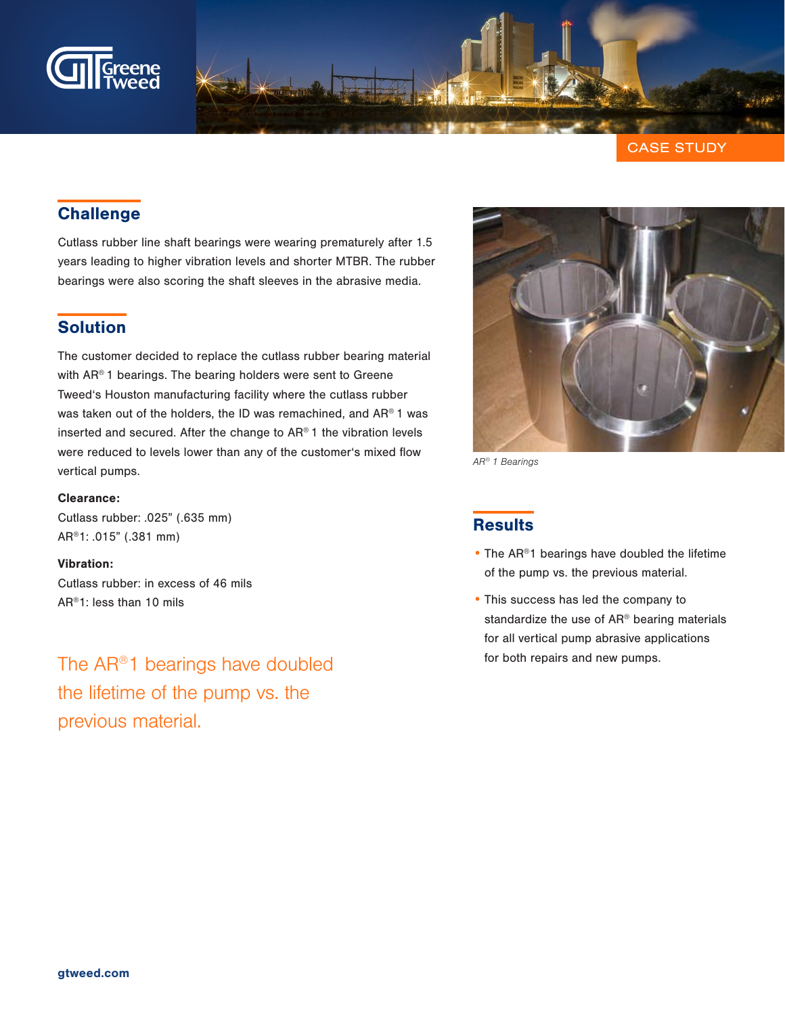

CASE STUDY

# **Challenge**

Cutlass rubber line shaft bearings were wearing prematurely after 1.5 years leading to higher vibration levels and shorter MTBR. The rubber bearings were also scoring the shaft sleeves in the abrasive media.

## Solution

The customer decided to replace the cutlass rubber bearing material with AR<sup>®</sup> 1 bearings. The bearing holders were sent to Greene Tweed's Houston manufacturing facility where the cutlass rubber was taken out of the holders, the ID was remachined, and AR® 1 was inserted and secured. After the change to AR® 1 the vibration levels were reduced to levels lower than any of the customer's mixed flow vertical pumps.

#### Clearance:

Cutlass rubber: .025" (.635 mm) AR®1: .015" (.381 mm)

#### Vibration:

Cutlass rubber: in excess of 46 mils AR®1: less than 10 mils

The AR®1 bearings have doubled the lifetime of the pump vs. the previous material.



AR® 1 Bearings

### **Results**

- The AR®1 bearings have doubled the lifetime of the pump vs. the previous material.
- This success has led the company to standardize the use of AR® bearing materials for all vertical pump abrasive applications for both repairs and new pumps.